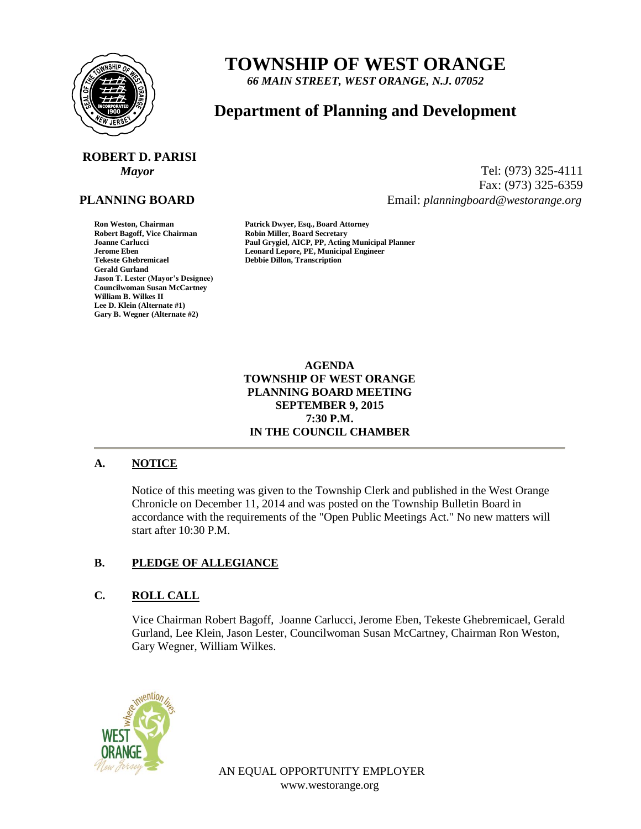

# **TOWNSHIP OF WEST ORANGE**

*66 MAIN STREET, WEST ORANGE, N.J. 07052*

# **Department of Planning and Development**

# **ROBERT D. PARISI**

### **PLANNING BOARD**

**Gerald Gurland Jason T. Lester (Mayor's Designee) Councilwoman Susan McCartney William B. Wilkes II Lee D. Klein (Alternate #1) Gary B. Wegner (Alternate #2)**

*Mayor* Tel: (973) 325-4111 Fax: (973) 325-6359 Email: *planningboard@westorange.org*

**Ron Weston, Chairman Patrick Dwyer, Esq., Board Attorney Robin Miller, Board Secretary Joanne Carlucci Paul Grygiel, AICP, PP, Acting Municipal Planner Jerome Eben Leonard Lepore, PE, Municipal Engineer Tekeste Ghebremicael Debbie Dillon, Transcription**

> **AGENDA TOWNSHIP OF WEST ORANGE PLANNING BOARD MEETING SEPTEMBER 9, 2015 7:30 P.M. IN THE COUNCIL CHAMBER**

#### **A. NOTICE**

Notice of this meeting was given to the Township Clerk and published in the West Orange Chronicle on December 11, 2014 and was posted on the Township Bulletin Board in accordance with the requirements of the "Open Public Meetings Act." No new matters will start after 10:30 P.M.

#### **B. PLEDGE OF ALLEGIANCE**

## **C. ROLL CALL**

Vice Chairman Robert Bagoff, Joanne Carlucci, Jerome Eben, Tekeste Ghebremicael, Gerald Gurland, Lee Klein, Jason Lester, Councilwoman Susan McCartney, Chairman Ron Weston, Gary Wegner, William Wilkes.



AN EQUAL OPPORTUNITY EMPLOYER www.westorange.org